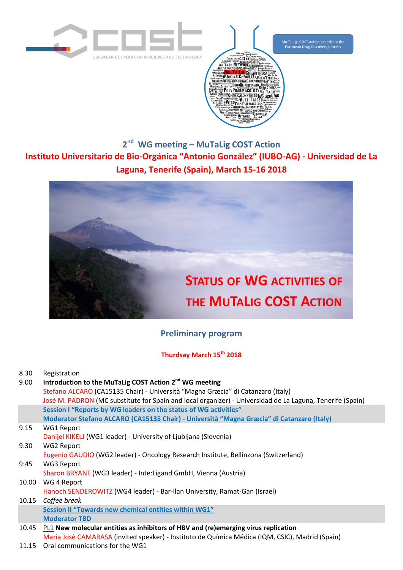

Mu.Ta.Lig. COST Action speeds up the<br>European Drug Discovery process

**2 nd WG meeting – MuTaLig COST Action Instituto Universitario de Bio-Orgánica "Antonio González" (IUBO-AG) - Universidad de La Laguna, Tenerife (Spain), March 15-16 2018**



## **[Preliminary](http://www.mutalig.eu/) program**

## **Thurdsay March 15th 2018**

| 8.30<br>9.00 | Registration<br>Introduction to the MuTaLig COST Action 2 <sup>nd</sup> WG meeting<br>Stefano ALCARO (CA15135 Chair) - Università "Magna Græcia" di Catanzaro (Italy)<br>José M. PADRON (MC substitute for Spain and local organizer) - Universidad de La Laguna, Tenerife (Spain) |
|--------------|------------------------------------------------------------------------------------------------------------------------------------------------------------------------------------------------------------------------------------------------------------------------------------|
|              | Session I "Reports by WG leaders on the status of WG activities"                                                                                                                                                                                                                   |
|              | Moderator Stefano ALCARO (CA15135 Chair) - Università "Magna Græcia" di Catanzaro (Italy)                                                                                                                                                                                          |
| 9.15         | <b>WG1 Report</b>                                                                                                                                                                                                                                                                  |
|              | Danijel KIKELJ (WG1 leader) - University of Ljubljana (Slovenia)                                                                                                                                                                                                                   |
| 9.30         | <b>WG2 Report</b>                                                                                                                                                                                                                                                                  |
|              | Eugenio GAUDIO (WG2 leader) - Oncology Research Institute, Bellinzona (Switzerland)                                                                                                                                                                                                |
| 9:45         | WG3 Report                                                                                                                                                                                                                                                                         |
|              | Sharon BRYANT (WG3 leader) - Inte: Ligand GmbH, Vienna (Austria)                                                                                                                                                                                                                   |
| 10.00        | WG 4 Report                                                                                                                                                                                                                                                                        |
|              | Hanoch SENDEROWITZ (WG4 leader) - Bar-Ilan University, Ramat-Gan (Israel)                                                                                                                                                                                                          |
| 10.15        | Coffee break                                                                                                                                                                                                                                                                       |
|              | Session II "Towards new chemical entities within WG1"                                                                                                                                                                                                                              |
|              | <b>Moderator TBD</b>                                                                                                                                                                                                                                                               |
| 10.45        | PL1 New molecular entities as inhibitors of HBV and (re)emerging virus replication                                                                                                                                                                                                 |
|              | Maria Josè CAMARASA (invited speaker) - Instituto de Química Médica (IQM, CSIC), Madrid (Spain)                                                                                                                                                                                    |

11.15 Oral communications for the WG1